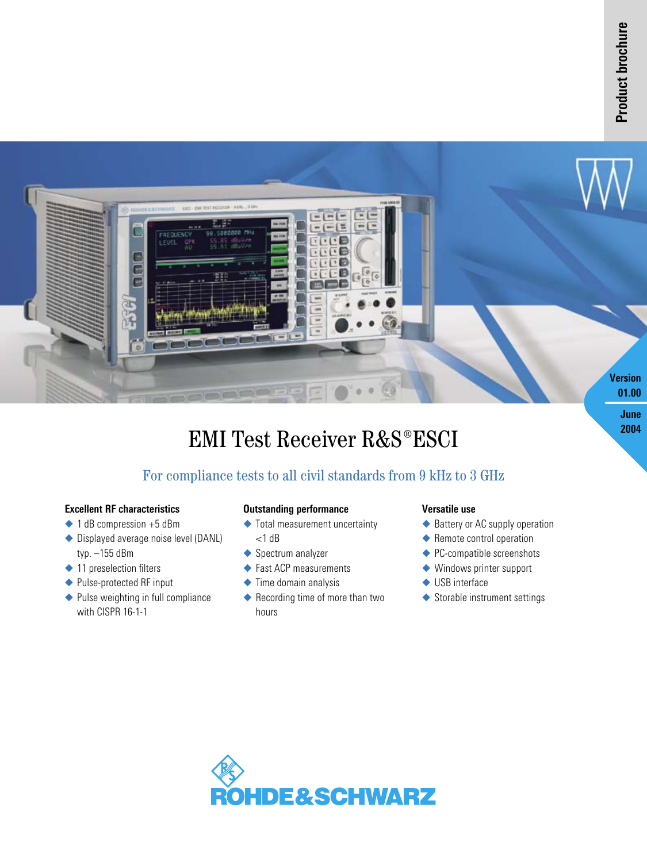2004



## EMI Test Receiver R&S®ESCI

## For compliance tests to all civil standards from 9 kHz to 3 GHz

#### **Excellent RF characteristics**

- $\triangle$  1 dB compression +5 dBm
- ◆ Displayed average noise level (DANL) typ. –155 dBm
- ◆ 11 preselection filters
- ◆ Pulse-protected RF input
- ◆ Pulse weighting in full compliance with CISPR 16-1-1

#### **Outstanding performance**

- $\blacklozenge$  Total measurement uncertainty  $<$ 1 dB
- ◆ Spectrum analyzer
- ◆ Fast ACP measurements
- $\blacklozenge$  Time domain analysis
- ◆ Recording time of more than two hours

#### **Versatile use**

- ◆ Battery or AC supply operation
- $\blacklozenge$  Remote control operation
- ◆ PC-compatible screenshots
- ◆ Windows printer support
- ◆ USB interface
- Storable instrument settings

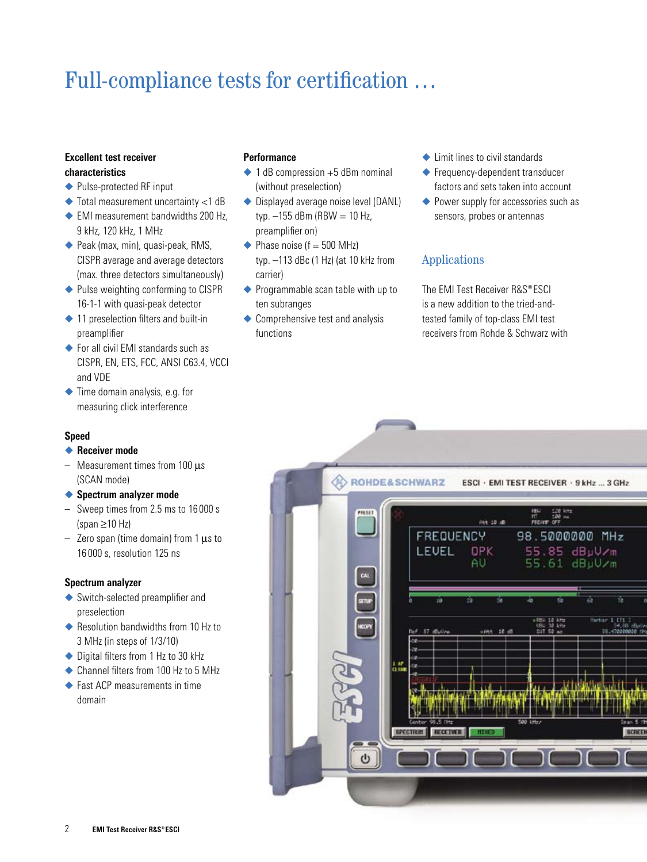# Full-compliance tests for certification …

#### **Excellent test receiver characteristics**

- ◆ Pulse-protected RF input
- ◆ Total measurement uncertainty <1 dB
- ◆ EMI measurement bandwidths 200 Hz, 9 kHz, 120 kHz, 1 MHz
- ◆ Peak (max, min), quasi-peak, RMS, CISPR average and average detectors (max. three detectors simultaneously)
- ◆ Pulse weighting conforming to CISPR 16-1-1 with quasi-peak detector
- $\triangle$  11 preselection filters and built-in preamplifier
- ◆ For all civil EMI standards such as CISPR, EN, ETS, FCC, ANSI C63.4, VCCI and VDE
- ◆ Time domain analysis, e.g. for measuring click interference

#### **Speed**

- **Receiver mode**
- Measurement times from  $100 \mu s$ (SCAN mode)
- **Spectrum analyzer mode**
- Sweep times from 2.5 ms to 16 000 s (span ≥10 Hz)
- $-$  Zero span (time domain) from 1  $\mu$ s to 16 000 s, resolution 125 ns

#### **Spectrum analyzer**

- ◆ Switch-selected preamplifier and preselection
- ◆ Resolution bandwidths from 10 Hz to 3 MHz (in steps of 1/3/10)
- ◆ Digital filters from 1 Hz to 30 kHz
- ◆ Channel filters from 100 Hz to 5 MHz
- ◆ Fast ACP measurements in time domain

#### **Performance**

- $\triangle$  1 dB compression  $+5$  dBm nominal (without preselection)
- ◆ Displayed average noise level (DANL) typ.  $-155$  dBm (RBW = 10 Hz, preamplifier on)
- $\blacktriangleright$  Phase noise (f = 500 MHz) typ. –113 dBc (1 Hz) (at 10 kHz from carrier)
- ◆ Programmable scan table with up to ten subranges
- ◆ Comprehensive test and analysis functions
- ◆ Limit lines to civil standards
- ◆ Frequency-dependent transducer factors and sets taken into account
- ◆ Power supply for accessories such as sensors, probes or antennas

## Applications

The EMI Test Receiver R&S®ESCI is a new addition to the tried-andtested family of top-class EMI test receivers from Rohde & Schwarz with

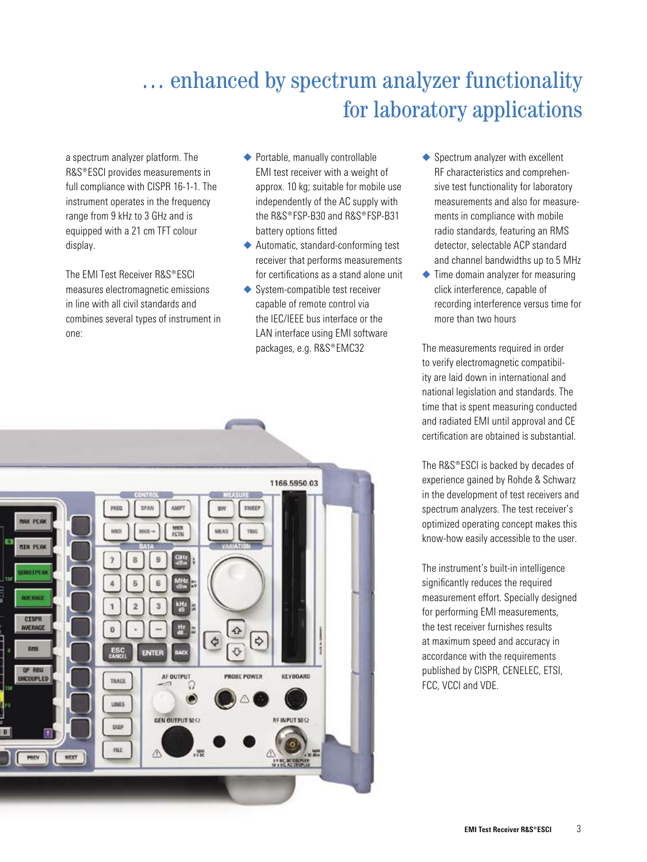## … enhanced by spectrum analyzer functionality for laboratory applications

a spectrum analyzer platform. The R&S®ESCI provides measurements in full compliance with CISPR 16-1-1. The instrument operates in the frequency range from 9 kHz to 3 GHz and is equipped with a 21 cm TFT colour display.

The EMI Test Receiver R&S®ESCI measures electromagnetic emissions in line with all civil standards and combines several types of instrument in one:

- ◆ Portable, manually controllable EMI test receiver with a weight of approx. 10 kg; suitable for mobile use independently of the AC supply with the R&S®FSP-B30 and R&S®FSP-R31 battery options fitted
- Automatic, standard-conforming test receiver that performs measurements for certifications as a stand alone unit
- ◆ System-compatible test receiver capable of remote control via the IEC/IEEE bus interface or the LAN interface using EMI software packages, e.g. R&S®EMC32



- ◆ Spectrum analyzer with excellent RF characteristics and comprehensive test functionality for laboratory measurements and also for measurements in compliance with mobile radio standards, featuring an RMS detector, selectable ACP standard and channel bandwidths up to 5 MHz
- $\triangle$  Time domain analyzer for measuring click interference, capable of recording interference versus time for more than two hours

The measurements required in order to verify electromagnetic compatibility are laid down in international and national legislation and standards. The time that is spent measuring conducted and radiated EMI until approval and CE certification are obtained is substantial.

The R&S®ESCI is backed by decades of experience gained by Rohde & Schwarz in the development of test receivers and spectrum analyzers. The test receiver's optimized operating concept makes this know-how easily accessible to the user.

The instrument's built-in intelligence significantly reduces the required measurement effort. Specially designed for performing EMI measurements, the test receiver furnishes results at maximum speed and accuracy in accordance with the requirements published by CISPR, CENELEC, ETSI, FCC, VCCI and VDE.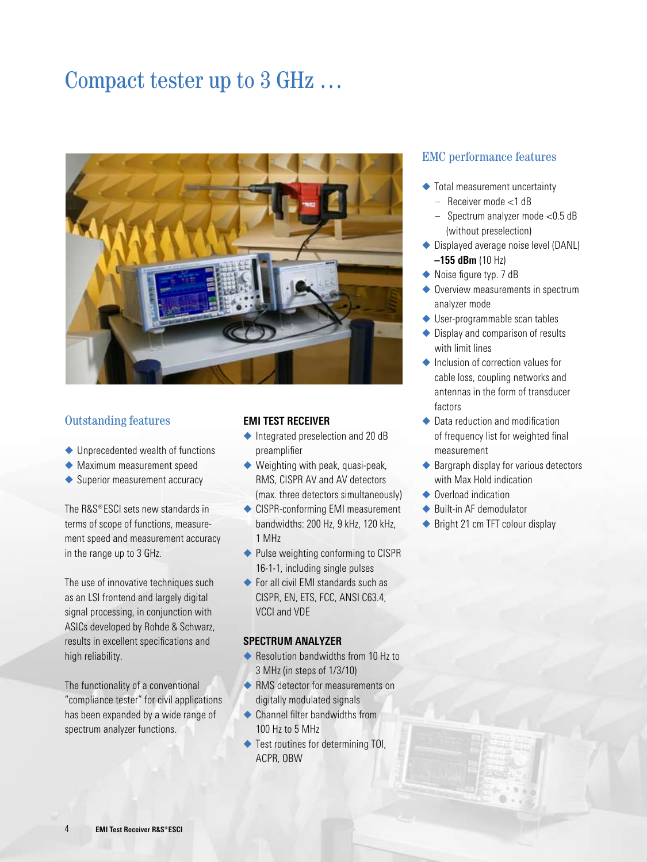## Compact tester up to 3 GHz …



### Outstanding features

- ◆ Unprecedented wealth of functions
- Maximum measurement speed
- ◆ Superior measurement accuracy

The  $RAS^{\circ}ESCI$  sets new standards in terms of scope of functions, measurement speed and measurement accuracy in the range up to 3 GHz.

The use of innovative techniques such as an LSI frontend and largely digital signal processing, in conjunction with ASICs developed by Rohde & Schwarz, results in excellent specifications and high reliability.

The functionality of a conventional "compliance tester" for civil applications has been expanded by a wide range of spectrum analyzer functions.

#### **EMI TEST RECEIVER**

- ◆ Integrated preselection and 20 dB preamplifier
- ◆ Weighting with peak, quasi-peak, RMS, CISPR AV and AV detectors (max. three detectors simultaneously)
- ◆ CISPR-conforming EMI measurement bandwidths: 200 Hz, 9 kHz, 120 kHz, 1 MHz
- ◆ Pulse weighting conforming to CISPR 16-1-1, including single pulses
- ◆ For all civil EMI standards such as CISPR, EN, ETS, FCC, ANSI C63.4, VCCI and VDE

#### **SPECTRUM ANALYZER**

- ◆ Resolution bandwidths from 10 Hz to 3 MHz (in steps of 1/3/10)
- RMS detector for measurements on digitally modulated signals
- ◆ Channel filter bandwidths from 100 Hz to 5 MHz
- ◆ Test routines for determining TOI, ACPR, OBW

## EMC performance features

- ◆ Total measurement uncertainty
	- Receiver mode <1 dB
	- Spectrum analyzer mode <0.5 dB (without preselection)
- ◆ Displayed average noise level (DANL) **–155 dBm** (10 Hz)
- ◆ Noise figure typ. 7 dB
- ◆ Overview measurements in spectrum analyzer mode
- ◆ User-programmable scan tables
- ◆ Display and comparison of results with limit lines
- $\triangle$  Inclusion of correction values for cable loss, coupling networks and antennas in the form of transducer factors
- ◆ Data reduction and modification of frequency list for weighted final measurement
- ◆ Bargraph display for various detectors with Max Hold indication
- ◆ Overload indication
- ◆ Built-in AF demodulator
- ◆ Bright 21 cm TFT colour display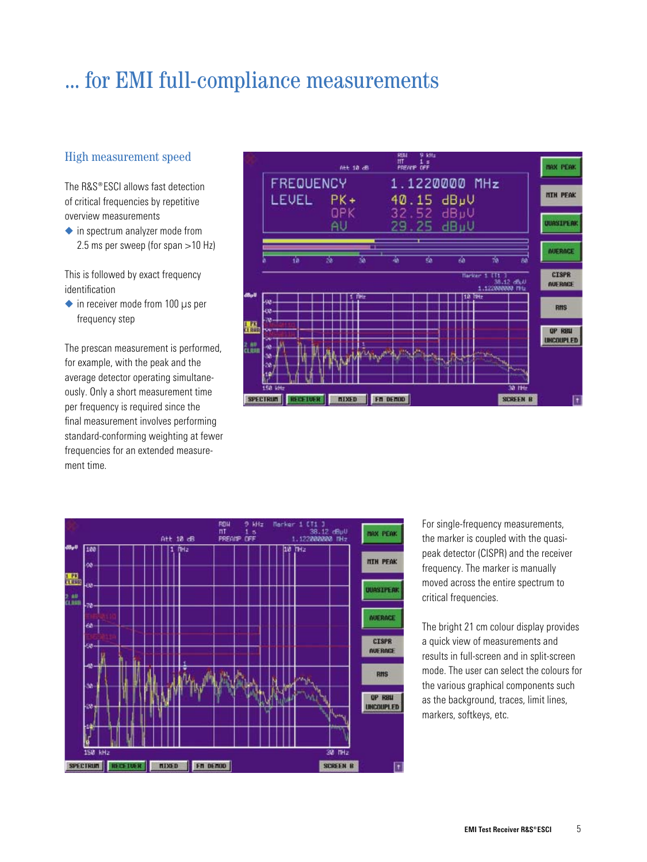## ... for EMI full-compliance measurements

## High measurement speed

The  $RAS^*ESCI$  allows fast detection of critical frequencies by repetitive overview measurements

◆ in spectrum analyzer mode from 2.5 ms per sweep (for span >10 Hz)

This is followed by exact frequency identification

 $\bullet$  in receiver mode from 100  $\mu$ s per frequency step

The prescan measurement is performed, for example, with the peak and the average detector operating simultaneously. Only a short measurement time per frequency is required since the final measurement involves performing standard-conforming weighting at fewer frequencies for an extended measurement time.





For single-frequency measurements, the marker is coupled with the quasipeak detector (CISPR) and the receiver frequency. The marker is manually moved across the entire spectrum to critical frequencies.

The bright 21 cm colour display provides a quick view of measurements and results in full-screen and in split-screen mode. The user can select the colours for the various graphical components such as the background, traces, limit lines, markers, softkeys, etc.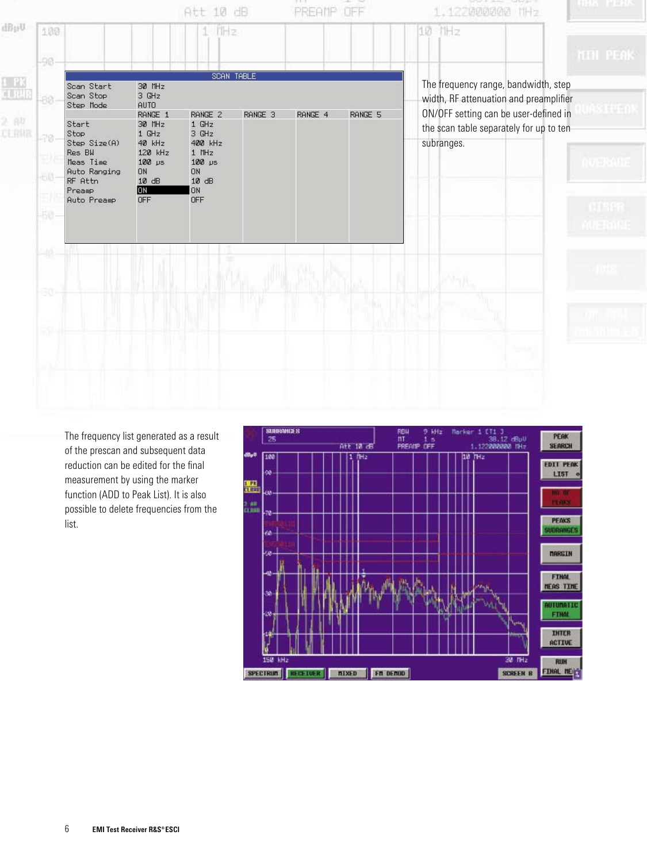

The frequency list generated as a result of the prescan and subsequent data reduction can be edited for the final measurement by using the marker function (ADD to Peak List). It is also possible to delete frequencies from the list.

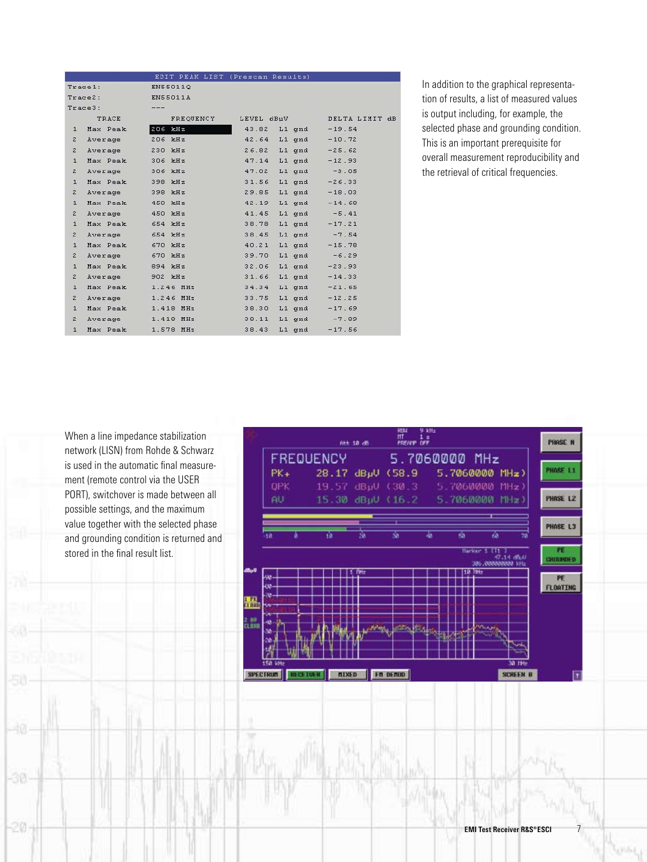|                |                  |                   | EDIT PEAK LIST (Prescan Results) |                |
|----------------|------------------|-------------------|----------------------------------|----------------|
|                | Trace1:          | EN55011Q          |                                  |                |
|                | Trace2:          | <b>EN55011A</b>   |                                  |                |
|                | Trace3:          | $\frac{1}{2}$     |                                  |                |
|                | TRACE            | FREQUENCY         | LEVEL dBµV                       | DELTA LIMIT dB |
| $\mathbf{1}$   | Max Peak         | $206$ kHz         | 43.82 L1 gnd                     | $-19.54$       |
| $\mathbf{z}$   | Average          | 206 kHz           | 42.64<br>$L1$ gnd                | $-10.72$       |
| $\tilde{z}$    | Average          | 230 kHz           | 26.82<br>L1 gnd                  | $-25.62$       |
| $\mathbf{1}$   | Max Peak         | 306 kHz           | 47.14<br>L1 gnd                  | $-12.93$       |
| $\mathbf{z}$   | Average          | 306 kHz           | 47.02<br>$L1$ qnd                | $-3.05$        |
| $\mathbf{1}$   | Max Peak 398 kHz |                   | 31.56<br>L1 qnd                  | $-26.33$       |
| $\overline{2}$ | Average          | 398 kHz           | 29.85<br>L1 qnd                  | $-18.03$       |
| $\mathbf{1}$   | Max Peak         | 450 kHz           | 42.19<br>$L1$ qnd                | $-14.68$       |
| $\mathbf{2}$   | Average          | 450 kHz           | 41.45<br>L1 gnd                  | $-5.41$        |
| $\mathbf{1}$   | Max Peak 654 kHz |                   | 38.78<br>L1 gnd                  | $-17.21$       |
| $\tilde{z}$    | Average          | 654 kHz           | 38.45<br>L1 gnd                  | $-7.54$        |
| $\mathbf{1}$   | Max Peak         | 670 kHz           | 40.21<br>L1 gnd                  | $-15.78$       |
| $\mathbf{z}$   | Average          | 670 kHz           | 39.70<br>$L1$ qnd                | $-6.29$        |
| $\mathbf{1}$   | Max Peak         | 894 kHz           | 32.06<br>$L1$ qnd                | $-23.93$       |
| $\mathbf{Z}$   | Average 902 kHz  |                   | 31.66<br>$L1$ qnd                | $-14.33$       |
| $\mathbf{1}$   | Max Peak         | 1.246 MHz         | 34.34<br>$L1$ qnd                | $-21.65$       |
| $\mathbf{z}$   | Average          | $1.246$ MHz       | 33.75<br>$L1$ and                | $-12.25$       |
| $\mathbf{1}$   | Max Peak         | 1.418 MHz         | 38.30<br>$L1$ and                | $-17.69$       |
| $\tilde{z}$    |                  | Average 1.418 MHz | 38.11<br>L1 qnd                  | $-7.89$        |
| $\mathbf{1}$   | Max Peak         | 1.578 MHz         | 38.43<br>L1 gnd                  | $-17.56$       |

In addition to the graphical representation of results, a list of measured values is output including, for example, the selected phase and grounding condition. This is an important prerequisite for overall measurement reproducibility and the retrieval of critical frequencies.

When a line impedance stabilization network (LISN) from Rohde & Schwarz is used in the automatic final measurement (remote control via the USER PORT), switchover is made between all possible settings, and the maximum value together with the selected phase and grounding condition is returned and stored in the final result list.

-30

 $-20.$ 



crist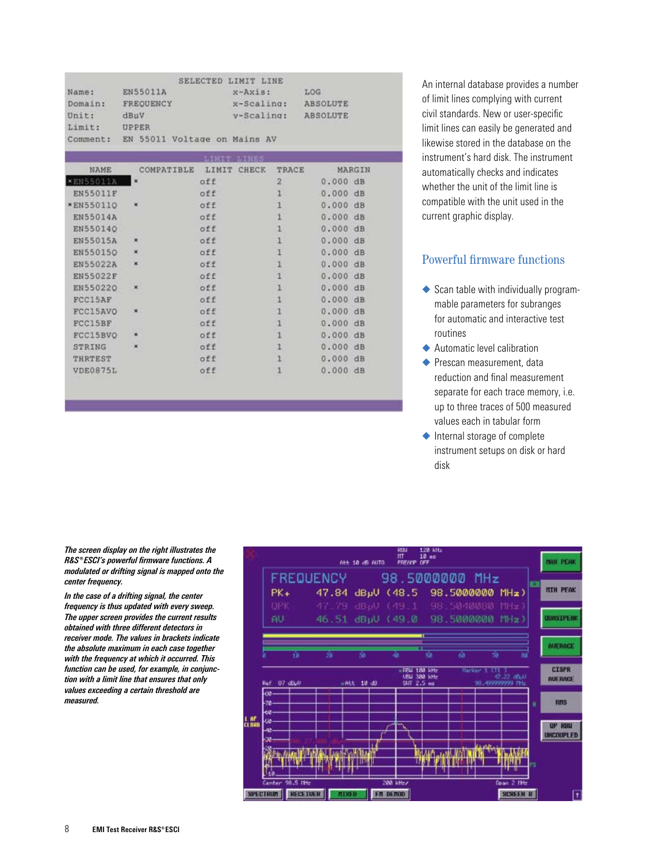|          |                              | SELECTED LIMIT LINE   |                 |
|----------|------------------------------|-----------------------|-----------------|
| Name:    | EN55011A                     | $x$ -Axis:            | LOG             |
| Domain:  | FREQUENCY                    | $x - \text{Scaling:}$ | <b>ABSOLUTE</b> |
| Unit:    | dBuV                         | $v-Scal$ ing:         | <b>ABSOLUTE</b> |
| Limit:   | <b>UPPER</b>                 |                       |                 |
| Comment: | EN 55011 Voltage on Mains AV |                       |                 |

| NAME             | COMPATIBLE               | LIMIT<br>CHECK | <b>TRACE</b>   | MARGIN   |
|------------------|--------------------------|----------------|----------------|----------|
| <b>*EN55011A</b> | $\overline{\phantom{a}}$ | off            | $\overline{2}$ | 0.000 dB |
| EN55011F         |                          | off            | $\mathbf{1}$   | 0.000 dB |
| <b>*EN550110</b> | ×                        | off            |                | 0.000 dB |
| EN55014A         |                          | off            | 1              | 0.000 dB |
| EN550140         |                          | off            |                | 0.000 dB |
| <b>EN55015A</b>  | ×                        | off            | 1              | 0.000 dB |
| EN550150         | ×                        | off            |                | 0.000 dB |
| <b>EN55022A</b>  | ×                        | off            | 1              | 0.000 dB |
| EN55022F         |                          | off            | $\mathbf{1}$   | 0.000 dB |
| EN550220         | ×                        | off            | 1              | 0.000 dB |
| FCC15AF          |                          | off            |                | 0.000 dB |
| FCC15AVO         | ×                        | off            |                | 0.000 dB |
| FCC15BF          |                          | off            | ı              | 0.000 dB |
| FCC15BVO         | ×                        | off            |                | 0.000 dB |
| STRING           | $\pmb{\times}$           | off            |                | 0.000 dB |
| THRTEST          |                          | off            |                | 0.000 dB |
| VDE0875L         |                          | off            |                | 0.000 dB |
|                  |                          |                |                |          |

An internal database provides a number of limit lines complying with current civil standards. New or user-specific limit lines can easily be generated and likewise stored in the database on the instrument's hard disk. The instrument automatically checks and indicates whether the unit of the limit line is compatible with the unit used in the current graphic display.

### Powerful firmware functions

- $\triangle$  Scan table with individually programmable parameters for subranges for automatic and interactive test routines
- Automatic level calibration
- ◆ Prescan measurement, data reduction and final measurement separate for each trace memory, i.e. up to three traces of 500 measured values each in tabular form
- ◆ Internal storage of complete instrument setups on disk or hard disk

*The screen display on the right illustrates the ¸ESCI's powerful firmware functions. A modulated or drifting signal is mapped onto the center frequency.* 

*In the case of a drifting signal, the center frequency is thus updated with every sweep. The upper screen provides the current results obtained with three different detectors in receiver mode. The values in brackets indicate the absolute maximum in each case together with the frequency at which it occurred. This function can be used, for example, in conjunction with a limit line that ensures that only values exceeding a certain threshold are measured.*

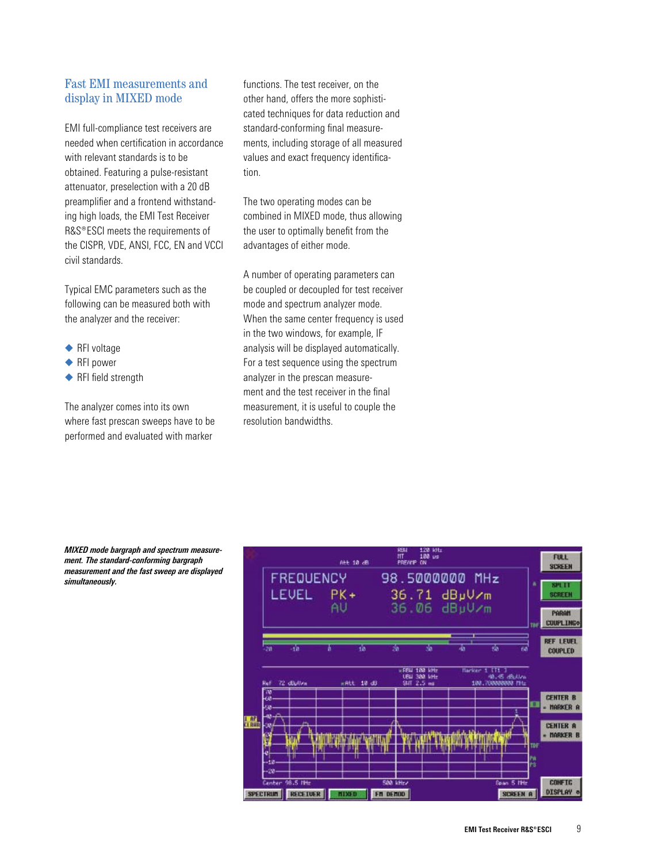### Fast EMI measurements and display in MIXED mode

EMI full-compliance test receivers are needed when certification in accordance with relevant standards is to be obtained. Featuring a pulse-resistant attenuator, preselection with a 20 dB preamplifier and a frontend withstanding high loads, the EMI Test Receiver R&S®ESCI meets the requirements of the CISPR, VDE, ANSI, FCC, EN and VCCI civil standards.

Typical EMC parameters such as the following can be measured both with the analyzer and the receiver:

- ◆ RFI voltage
- ◆ RFI power
- ◆ RFI field strength

The analyzer comes into its own where fast prescan sweeps have to be performed and evaluated with marker

functions. The test receiver, on the other hand, offers the more sophisticated techniques for data reduction and standard-conforming final measurements, including storage of all measured values and exact frequency identification.

The two operating modes can be combined in MIXED mode, thus allowing the user to optimally benefit from the advantages of either mode.

A number of operating parameters can be coupled or decoupled for test receiver mode and spectrum analyzer mode. When the same center frequency is used in the two windows, for example, IF analysis will be displayed automatically. For a test sequence using the spectrum analyzer in the prescan measurement and the test receiver in the final measurement, it is useful to couple the resolution bandwidths.



*MIXED mode bargraph and spectrum measurement. The standard-conforming bargraph measurement and the fast sweep are displayed simultaneously.*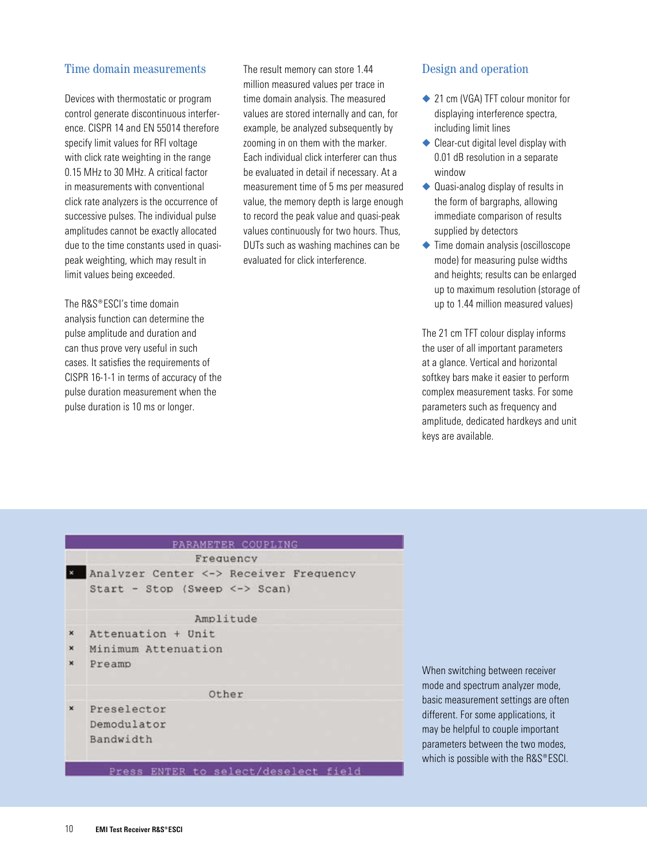### Time domain measurements

Devices with thermostatic or program control generate discontinuous interference. CISPR 14 and EN 55014 therefore specify limit values for RFI voltage with click rate weighting in the range 0.15 MHz to 30 MHz. A critical factor in measurements with conventional click rate analyzers is the occurrence of successive pulses. The individual pulse amplitudes cannot be exactly allocated due to the time constants used in quasipeak weighting, which may result in limit values being exceeded.

The R&S®ESCI's time domain analysis function can determine the pulse amplitude and duration and can thus prove very useful in such cases. It satisfies the requirements of CISPR 16-1-1 in terms of accuracy of the pulse duration measurement when the pulse duration is 10 ms or longer.

The result memory can store 1.44 million measured values per trace in time domain analysis. The measured values are stored internally and can, for example, be analyzed subsequently by zooming in on them with the marker. Each individual click interferer can thus be evaluated in detail if necessary. At a measurement time of 5 ms per measured value, the memory depth is large enough to record the peak value and quasi-peak values continuously for two hours. Thus, DUTs such as washing machines can be evaluated for click interference.

#### Design and operation

- ◆ 21 cm (VGA) TFT colour monitor for displaying interference spectra, including limit lines
- ◆ Clear-cut digital level display with 0.01 dB resolution in a separate window
- ◆ Quasi-analog display of results in the form of bargraphs, allowing immediate comparison of results supplied by detectors
- ◆ Time domain analysis (oscilloscope mode) for measuring pulse widths and heights; results can be enlarged up to maximum resolution (storage of up to 1.44 million measured values)

The 21 cm TFT colour display informs the user of all important parameters at a glance. Vertical and horizontal softkey bars make it easier to perform complex measurement tasks. For some parameters such as frequency and amplitude, dedicated hardkeys and unit keys are available.

|                | PARAMETER COUPLING<br>Frequency                                         |                                     |  |
|----------------|-------------------------------------------------------------------------|-------------------------------------|--|
|                | Analyzer Center <-> Receiver Frequency<br>Start - Stop (Sweep <-> Scan) |                                     |  |
|                | Amplitude                                                               |                                     |  |
| $\pmb{\times}$ | Attenuation + Unit                                                      |                                     |  |
| $\pmb{\times}$ | Minimum Attenuation                                                     |                                     |  |
| ×              | Preamp                                                                  | When sw                             |  |
|                | Other                                                                   | mode and<br>basic mea               |  |
| $\mathbf{x}$   | Preselector<br>Demodulator<br>Bandwidth                                 | different.<br>may be he<br>paramete |  |

Press ENTER to select/deselect field

itching between receiver spectrum analyzer mode, surement settings are often For some applications, it elpful to couple important irs between the two modes,  $\cos$ sible with the R&S®ESCI.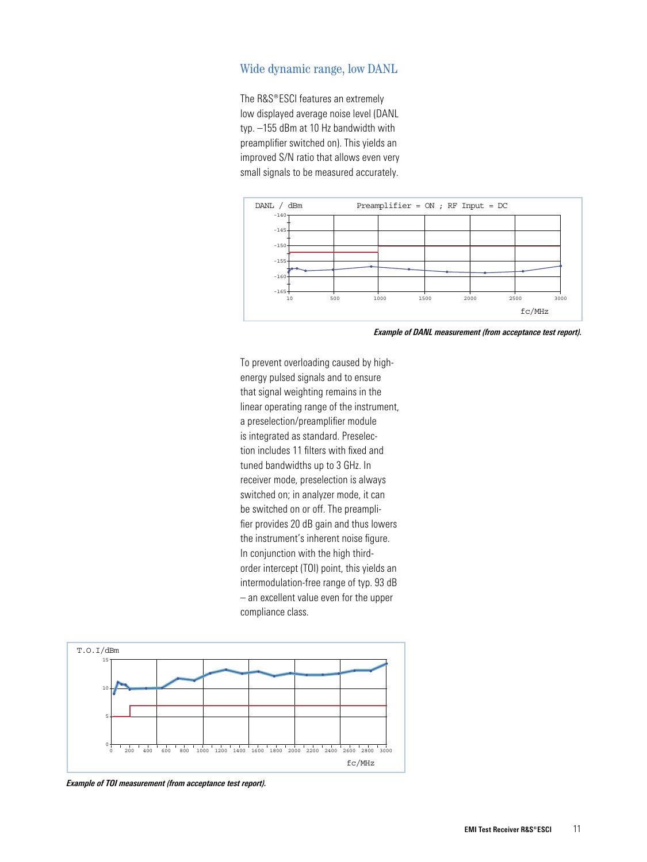#### Wide dynamic range, low DANL

The R&S®ESCI features an extremely low displayed average noise level (DANL typ. -155 dBm at 10 Hz bandwidth with preamplifier switched on). This yields an improved S/N ratio that allows even very small signals to be measured accurately.



Example of DANL measurement (from acceptance test report).

To prevent overloading caused by highenergy pulsed signals and to ensure that signal weighting remains in the linear operating range of the instrument, a preselection/preamplifier module is integrated as standard. Preselection includes 11 filters with fixed and tuned bandwidths up to 3 GHz. In receiver mode, preselection is always switched on; in analyzer mode, it can be switched on or off. The preamplifier provides 20 dB gain and thus lowers the instrument's inherent noise figure. In conjunction with the high thirdorder intercept (TOI) point, this yields an intermodulation-free range of typ. 93 dB - an excellent value even for the upper compliance class.



Example of TOI measurement (from acceptance test report).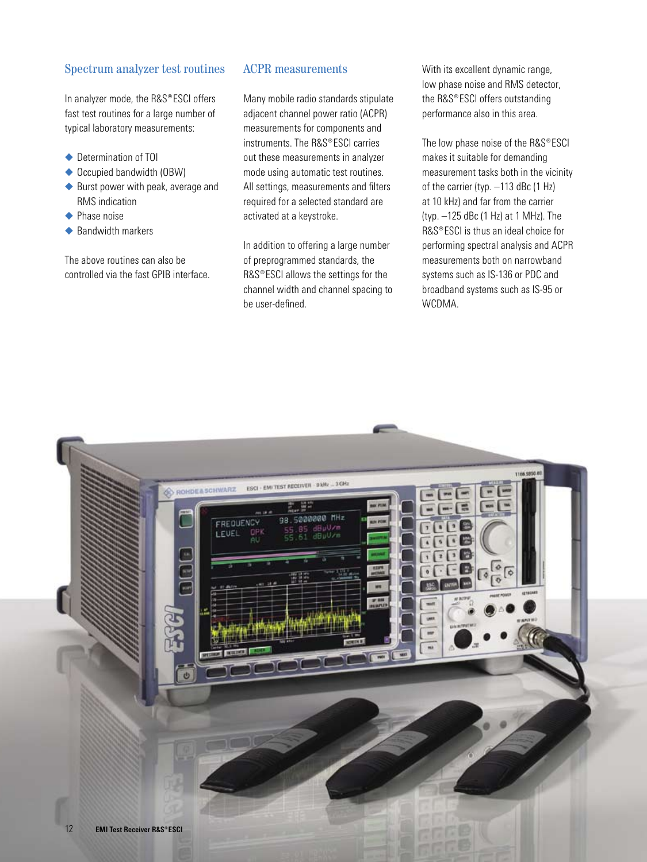#### Spectrum analyzer test routines

In analyzer mode, the R&S®ESCI offers fast test routines for a large number of typical laboratory measurements:

- ◆ Determination of TOI
- ◆ Occupied bandwidth (OBW)
- ◆ Burst power with peak, average and RMS indication
- ◆ Phase noise
- Bandwidth markers

The above routines can also be controlled via the fast GPIB interface.

#### ACPR measurements

Many mobile radio standards stipulate adjacent channel power ratio (ACPR) measurements for components and instruments. The R&S®ESCI carries out these measurements in analyzer mode using automatic test routines. All settings, measurements and filters required for a selected standard are activated at a keystroke.

In addition to offering a large number of preprogrammed standards, the R&S®ESCI allows the settings for the channel width and channel spacing to be user-defined.

With its excellent dynamic range, low phase noise and RMS detector, the R&S®ESCI offers outstanding performance also in this area.

The low phase noise of the R&S®ESCI makes it suitable for demanding measurement tasks both in the vicinity of the carrier (typ. –113 dBc (1 Hz) at 10 kHz) and far from the carrier (typ. –125 dBc (1 Hz) at 1 MHz). The R&S®ESCI is thus an ideal choice for performing spectral analysis and ACPR measurements both on narrowband systems such as IS-136 or PDC and broadband systems such as IS-95 or WCDMA.

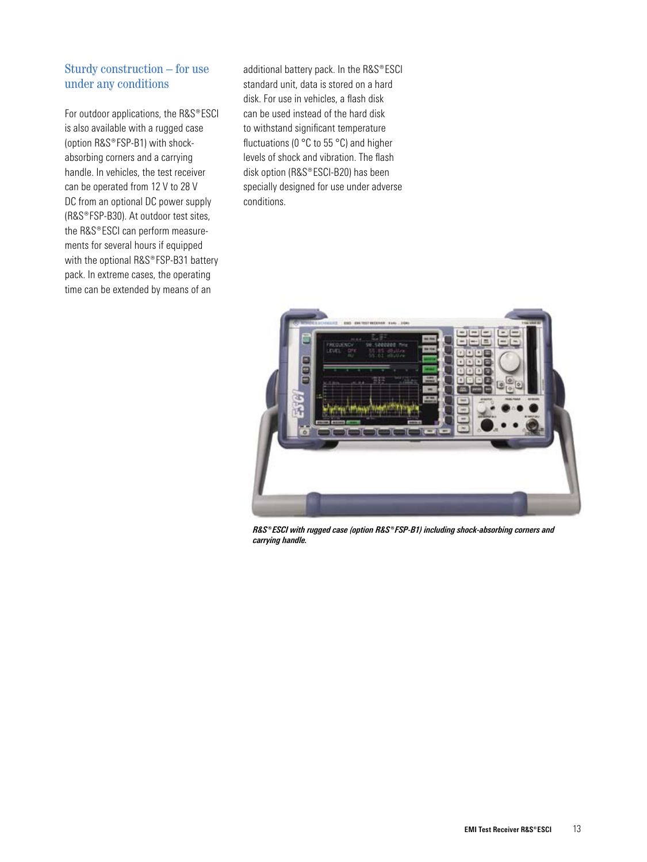## Sturdy construction – for use under any conditions

For outdoor applications, the R&S®ESCI is also available with a rugged case (option R&S®FSP-B1) with shockabsorbing corners and a carrying handle. In vehicles, the test receiver can be operated from 12 V to 28 V DC from an optional DC power supply (R&S®FSP-B30). At outdoor test sites, the R&S®ESCI can perform measurements for several hours if equipped with the optional R&S®FSP-B31 battery pack. In extreme cases, the operating time can be extended by means of an

additional battery pack. In the R&S®ESCI standard unit, data is stored on a hard disk. For use in vehicles, a flash disk can be used instead of the hard disk to withstand significant temperature fluctuations (0 °C to 55 °C) and higher levels of shock and vibration. The flash disk option (R&S®ESCI-B20) has been specially designed for use under adverse conditions.



R&S®ESCI with rugged case (option R&S®FSP-B1) including shock-absorbing corners and *carrying handle.*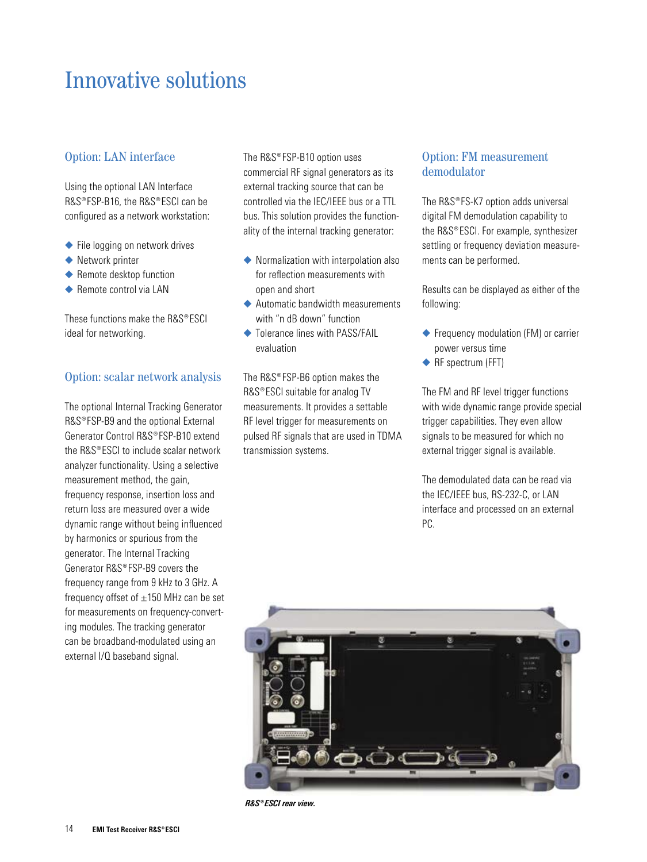## Innovative solutions

## Option: LAN interface

Using the optional LAN Interface R&S®FSP-B16, the R&S®ESCI can be configured as a network workstation:

- ◆ File logging on network drives
- ◆ Network printer
- $\blacklozenge$  Remote desktop function
- ◆ Remote control via LAN

These functions make the  $RAS^{\circ}ESCI$ ideal for networking.

## Option: scalar network analysis

The optional Internal Tracking Generator R&S®FSP-B9 and the optional External Generator Control R&S®FSP-B10 extend the  $RAS^{\circ}ESCI$  to include scalar network analyzer functionality. Using a selective measurement method, the gain, frequency response, insertion loss and return loss are measured over a wide dynamic range without being influenced by harmonics or spurious from the generator. The Internal Tracking Generator R&S®FSP-B9 covers the frequency range from 9 kHz to 3 GHz. A frequency offset of  $\pm 150$  MHz can be set for measurements on frequency-converting modules. The tracking generator can be broadband-modulated using an external I/Q baseband signal.

The R&S®FSP-B10 option uses commercial RF signal generators as its external tracking source that can be controlled via the IEC/IEEE bus or a TTL bus. This solution provides the functionality of the internal tracking generator:

- Normalization with interpolation also for reflection measurements with open and short
- ◆ Automatic bandwidth measurements with "n dB down" function
- $\triangle$  Tolerance lines with PASS/FAIL evaluation

The R&S®FSP-B6 option makes the R&S®ESCI suitable for analog TV measurements. It provides a settable RF level trigger for measurements on pulsed RF signals that are used in TDMA transmission systems.

## Option: FM measurement demodulator

The R&S®FS-K7 option adds universal digital FM demodulation capability to the R&S®ESCI. For example, synthesizer settling or frequency deviation measurements can be performed.

Results can be displayed as either of the following:

- ◆ Frequency modulation (FM) or carrier power versus time
- ◆ RF spectrum (FFT)

The FM and RF level trigger functions with wide dynamic range provide special trigger capabilities. They even allow signals to be measured for which no external trigger signal is available.

The demodulated data can be read via the IEC/IEEE bus, RS-232-C, or LAN interface and processed on an external PC.



 $RAS^*ESCI$  rear view.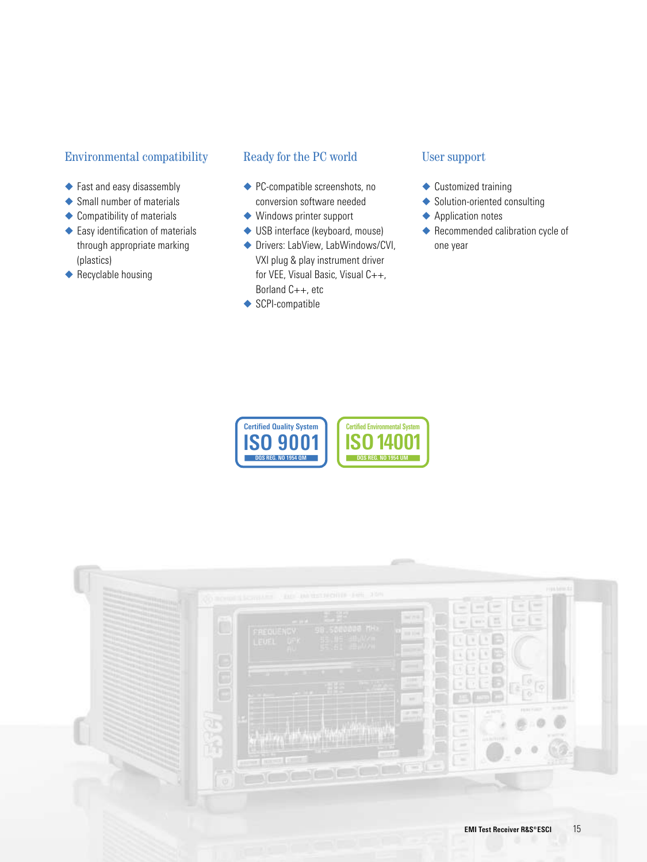## **Environmental compatibility**

- ◆ Fast and easy disassembly
- ◆ Small number of materials
- ◆ Compatibility of materials
- ◆ Easy identification of materials through appropriate marking (plastics)
- $\blacklozenge$  Recyclable housing

### Ready for the PC world

- ◆ PC-compatible screenshots, no conversion software needed
- $\blacklozenge$  Windows printer support
- ◆ USB interface (keyboard, mouse)
- ◆ Drivers: LabView, LabWindows/CVI, VXI plug & play instrument driver for VEE, Visual Basic, Visual C++, Borland C++, etc
- SCPI-compatible

## **User support**

- ◆ Customized training
- Solution-oriented consulting
- ◆ Application notes
- ◆ Recommended calibration cycle of one year



| FAIR LINE COLLECTIVE LINE 210H<br>do acros Licenses<br>$-78$                                                                         | HIA MILLES<br>$\sim$<br>1 mm<br>and E. Gar-<br>cont.<br>−     |
|--------------------------------------------------------------------------------------------------------------------------------------|---------------------------------------------------------------|
| $\Box$<br>i Saecada MH.<br>FREQUENCY<br>101114                                                                                       | 區<br>sian.<br><b>THE</b><br><b>MACK</b><br><b>SHO</b>         |
| 16<br>LEUEL<br>Q                                                                                                                     |                                                               |
| -<br>E<br>1000                                                                                                                       |                                                               |
| <b>Section</b>                                                                                                                       | <b>STERN</b><br><b>FEBUTINE</b>                               |
| 27.70<br>anni P<br>Œ                                                                                                                 | ALC YES<br><b>TELEVIS</b><br><b>Sell</b><br><b>CONTRACTOR</b> |
| <b>HARTER</b>                                                                                                                        | <b>JULIAN TYPES</b><br>$\sim$                                 |
| and has been<br>$\begin{array}{c} \hline \text{if } \mathcal{A} \subseteq \mathcal{A} \subseteq \mathcal{A} \end{array}$<br>- 1<br>o | ×                                                             |
|                                                                                                                                      |                                                               |
|                                                                                                                                      | 15<br><b>EMI Test Receiver R&amp;S®ESCI</b>                   |